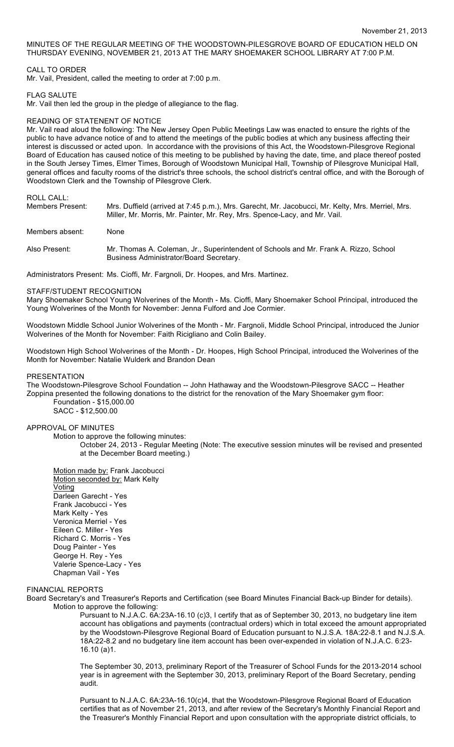MINUTES OF THE REGULAR MEETING OF THE WOODSTOWN-PILESGROVE BOARD OF EDUCATION HELD ON THURSDAY EVENING, NOVEMBER 21, 2013 AT THE MARY SHOEMAKER SCHOOL LIBRARY AT 7:00 P.M.

# CALL TO ORDER

Mr. Vail, President, called the meeting to order at 7:00 p.m.

### FLAG SALUTE

Mr. Vail then led the group in the pledge of allegiance to the flag.

### READING OF STATENENT OF NOTICE

Mr. Vail read aloud the following: The New Jersey Open Public Meetings Law was enacted to ensure the rights of the public to have advance notice of and to attend the meetings of the public bodies at which any business affecting their interest is discussed or acted upon. In accordance with the provisions of this Act, the Woodstown-Pilesgrove Regional Board of Education has caused notice of this meeting to be published by having the date, time, and place thereof posted in the South Jersey Times, Elmer Times, Borough of Woodstown Municipal Hall, Township of Pilesgrove Municipal Hall, general offices and faculty rooms of the district's three schools, the school district's central office, and with the Borough of Woodstown Clerk and the Township of Pilesgrove Clerk.

# ROLL CALL:

| Members Present: | Mrs. Duffield (arrived at 7:45 p.m.), Mrs. Garecht, Mr. Jacobucci, Mr. Kelty, Mrs. Merriel, Mrs.<br>Miller, Mr. Morris, Mr. Painter, Mr. Rey, Mrs. Spence-Lacy, and Mr. Vail. |
|------------------|-------------------------------------------------------------------------------------------------------------------------------------------------------------------------------|
| Members absent:  | None                                                                                                                                                                          |
| Also Present: .  | Mr. Thomas A. Coleman, Jr., Superintendent of Schools and Mr. Frank A. Rizzo, School<br>Business Administrator/Board Secretary.                                               |

Administrators Present: Ms. Cioffi, Mr. Fargnoli, Dr. Hoopes, and Mrs. Martinez.

#### STAFF/STUDENT RECOGNITION

Mary Shoemaker School Young Wolverines of the Month - Ms. Cioffi, Mary Shoemaker School Principal, introduced the Young Wolverines of the Month for November: Jenna Fulford and Joe Cormier.

Woodstown Middle School Junior Wolverines of the Month - Mr. Fargnoli, Middle School Principal, introduced the Junior Wolverines of the Month for November: Faith Ricigliano and Colin Bailey.

Woodstown High School Wolverines of the Month - Dr. Hoopes, High School Principal, introduced the Wolverines of the Month for November: Natalie Wulderk and Brandon Dean

# PRESENTATION

The Woodstown-Pilesgrove School Foundation -- John Hathaway and the Woodstown-Pilesgrove SACC -- Heather Zoppina presented the following donations to the district for the renovation of the Mary Shoemaker gym floor: Foundation - \$15,000.00

SACC - \$12,500.00

# APPROVAL OF MINUTES

Motion to approve the following minutes:

October 24, 2013 - Regular Meeting (Note: The executive session minutes will be revised and presented at the December Board meeting.)

Motion made by: Frank Jacobucci Motion seconded by: Mark Kelty Voting Darleen Garecht - Yes Frank Jacobucci - Yes Mark Kelty - Yes Veronica Merriel - Yes Eileen C. Miller - Yes Richard C. Morris - Yes Doug Painter - Yes George H. Rey - Yes Valerie Spence-Lacy - Yes Chapman Vail - Yes

### FINANCIAL REPORTS

Board Secretary's and Treasurer's Reports and Certification (see Board Minutes Financial Back-up Binder for details). Motion to approve the following:

Pursuant to N.J.A.C. 6A:23A-16.10 (c)3, I certify that as of September 30, 2013, no budgetary line item account has obligations and payments (contractual orders) which in total exceed the amount appropriated by the Woodstown-Pilesgrove Regional Board of Education pursuant to N.J.S.A. 18A:22-8.1 and N.J.S.A. 18A:22-8.2 and no budgetary line item account has been over-expended in violation of N.J.A.C. 6:23- 16.10 (a)1.

The September 30, 2013, preliminary Report of the Treasurer of School Funds for the 2013-2014 school year is in agreement with the September 30, 2013, preliminary Report of the Board Secretary, pending audit.

Pursuant to N.J.A.C. 6A:23A-16.10(c)4, that the Woodstown-Pilesgrove Regional Board of Education certifies that as of November 21, 2013, and after review of the Secretary's Monthly Financial Report and the Treasurer's Monthly Financial Report and upon consultation with the appropriate district officials, to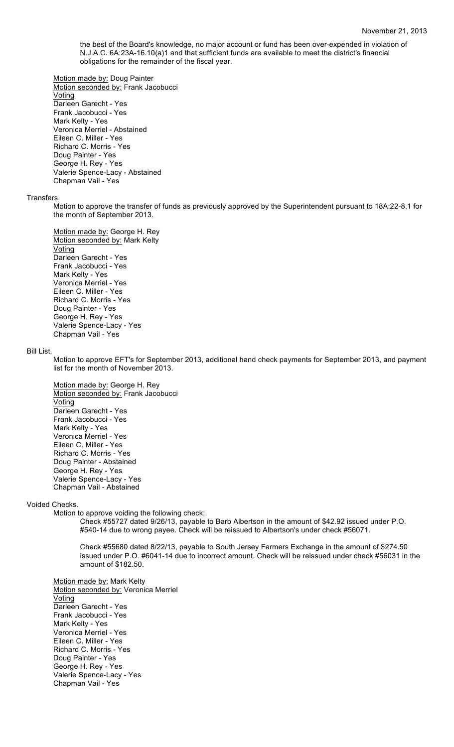the best of the Board's knowledge, no major account or fund has been over-expended in violation of N.J.A.C. 6A:23A-16.10(a)1 and that sufficient funds are available to meet the district's financial obligations for the remainder of the fiscal year.

Motion made by: Doug Painter

Motion seconded by: Frank Jacobucci **Voting** Darleen Garecht - Yes Frank Jacobucci - Yes Mark Kelty - Yes Veronica Merriel - Abstained Eileen C. Miller - Yes Richard C. Morris - Yes Doug Painter - Yes George H. Rey - Yes Valerie Spence-Lacy - Abstained Chapman Vail - Yes

#### **Transfers**

Motion to approve the transfer of funds as previously approved by the Superintendent pursuant to 18A:22-8.1 for the month of September 2013.

Motion made by: George H. Rey Motion seconded by: Mark Kelty Voting Darleen Garecht - Yes Frank Jacobucci - Yes Mark Kelty - Yes Veronica Merriel - Yes Eileen C. Miller - Yes Richard C. Morris - Yes Doug Painter - Yes George H. Rey - Yes Valerie Spence-Lacy - Yes Chapman Vail - Yes

#### Bill List.

Motion to approve EFT's for September 2013, additional hand check payments for September 2013, and payment list for the month of November 2013.

Motion made by: George H. Rey Motion seconded by: Frank Jacobucci Voting Darleen Garecht - Yes Frank Jacobucci - Yes Mark Kelty - Yes Veronica Merriel - Yes Eileen C. Miller - Yes Richard C. Morris - Yes Doug Painter - Abstained George H. Rey - Yes Valerie Spence-Lacy - Yes Chapman Vail - Abstained

# Voided Checks.

Motion to approve voiding the following check:

Check #55727 dated 9/26/13, payable to Barb Albertson in the amount of \$42.92 issued under P.O. #540-14 due to wrong payee. Check will be reissued to Albertson's under check #56071.

Check #55680 dated 8/22/13, payable to South Jersey Farmers Exchange in the amount of \$274.50 issued under P.O. #6041-14 due to incorrect amount. Check will be reissued under check #56031 in the amount of \$182.50.

Motion made by: Mark Kelty Motion seconded by: Veronica Merriel Voting Darleen Garecht - Yes Frank Jacobucci - Yes Mark Kelty - Yes Veronica Merriel - Yes Eileen C. Miller - Yes Richard C. Morris - Yes Doug Painter - Yes George H. Rey - Yes Valerie Spence-Lacy - Yes Chapman Vail - Yes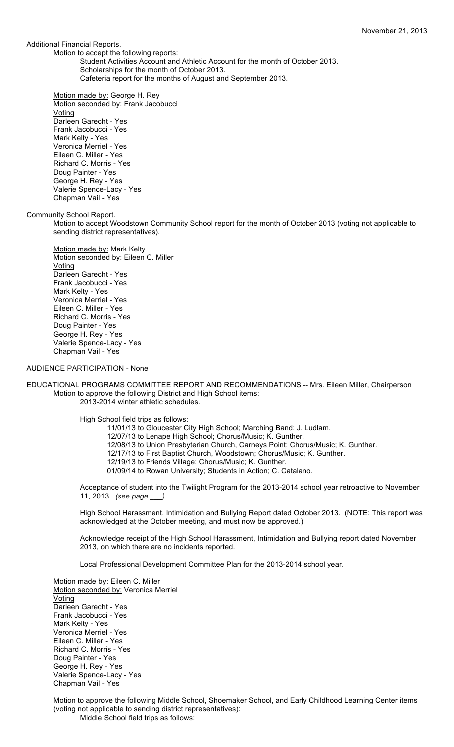Additional Financial Reports.

Motion to accept the following reports:

Student Activities Account and Athletic Account for the month of October 2013.

Scholarships for the month of October 2013.

Cafeteria report for the months of August and September 2013.

Motion made by: George H. Rey Motion seconded by: Frank Jacobucci Voting Darleen Garecht - Yes Frank Jacobucci - Yes Mark Kelty - Yes Veronica Merriel - Yes Eileen C. Miller - Yes Richard C. Morris - Yes Doug Painter - Yes George H. Rey - Yes Valerie Spence-Lacy - Yes Chapman Vail - Yes

Community School Report.

Motion to accept Woodstown Community School report for the month of October 2013 (voting not applicable to sending district representatives).

Motion made by: Mark Kelty Motion seconded by: Eileen C. Miller Voting Darleen Garecht - Yes Frank Jacobucci - Yes Mark Kelty - Yes Veronica Merriel - Yes Eileen C. Miller - Yes Richard C. Morris - Yes Doug Painter - Yes George H. Rey - Yes Valerie Spence-Lacy - Yes Chapman Vail - Yes

### AUDIENCE PARTICIPATION - None

EDUCATIONAL PROGRAMS COMMITTEE REPORT AND RECOMMENDATIONS -- Mrs. Eileen Miller, Chairperson Motion to approve the following District and High School items: 2013-2014 winter athletic schedules.

High School field trips as follows:

11/01/13 to Gloucester City High School; Marching Band; J. Ludlam.

12/07/13 to Lenape High School; Chorus/Music; K. Gunther.

12/08/13 to Union Presbyterian Church, Carneys Point; Chorus/Music; K. Gunther.

12/17/13 to First Baptist Church, Woodstown; Chorus/Music; K. Gunther.

- 12/19/13 to Friends Village; Chorus/Music; K. Gunther.
- 01/09/14 to Rowan University; Students in Action; C. Catalano.

Acceptance of student into the Twilight Program for the 2013-2014 school year retroactive to November 11, 2013. *(see page \_\_\_)*

High School Harassment, Intimidation and Bullying Report dated October 2013. (NOTE: This report was acknowledged at the October meeting, and must now be approved.)

Acknowledge receipt of the High School Harassment, Intimidation and Bullying report dated November 2013, on which there are no incidents reported.

Local Professional Development Committee Plan for the 2013-2014 school year.

Motion made by: Eileen C. Miller Motion seconded by: Veronica Merriel Voting Darleen Garecht - Yes Frank Jacobucci - Yes Mark Kelty - Yes Veronica Merriel - Yes Eileen C. Miller - Yes Richard C. Morris - Yes Doug Painter - Yes George H. Rey - Yes Valerie Spence-Lacy - Yes Chapman Vail - Yes

Motion to approve the following Middle School, Shoemaker School, and Early Childhood Learning Center items (voting not applicable to sending district representatives): Middle School field trips as follows: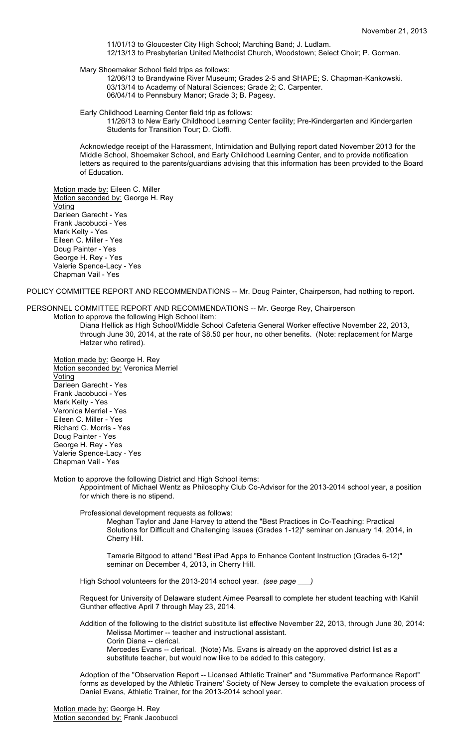11/01/13 to Gloucester City High School; Marching Band; J. Ludlam. 12/13/13 to Presbyterian United Methodist Church, Woodstown; Select Choir; P. Gorman.

Mary Shoemaker School field trips as follows:

12/06/13 to Brandywine River Museum; Grades 2-5 and SHAPE; S. Chapman-Kankowski. 03/13/14 to Academy of Natural Sciences; Grade 2; C. Carpenter. 06/04/14 to Pennsbury Manor; Grade 3; B. Pagesy.

Early Childhood Learning Center field trip as follows:

11/26/13 to New Early Childhood Learning Center facility; Pre-Kindergarten and Kindergarten Students for Transition Tour; D. Cioffi.

Acknowledge receipt of the Harassment, Intimidation and Bullying report dated November 2013 for the Middle School, Shoemaker School, and Early Childhood Learning Center, and to provide notification letters as required to the parents/guardians advising that this information has been provided to the Board of Education.

Motion made by: Eileen C. Miller Motion seconded by: George H. Rey **Voting** Darleen Garecht - Yes Frank Jacobucci - Yes Mark Kelty - Yes Eileen C. Miller - Yes Doug Painter - Yes George H. Rey - Yes Valerie Spence-Lacy - Yes Chapman Vail - Yes

POLICY COMMITTEE REPORT AND RECOMMENDATIONS -- Mr. Doug Painter, Chairperson, had nothing to report.

PERSONNEL COMMITTEE REPORT AND RECOMMENDATIONS -- Mr. George Rey, Chairperson

Motion to approve the following High School item:

Diana Hellick as High School/Middle School Cafeteria General Worker effective November 22, 2013, through June 30, 2014, at the rate of \$8.50 per hour, no other benefits. (Note: replacement for Marge Hetzer who retired).

Motion made by: George H. Rey Motion seconded by: Veronica Merriel Voting Darleen Garecht - Yes Frank Jacobucci - Yes Mark Kelty - Yes Veronica Merriel - Yes Eileen C. Miller - Yes Richard C. Morris - Yes Doug Painter - Yes George H. Rey - Yes Valerie Spence-Lacy - Yes Chapman Vail - Yes

Motion to approve the following District and High School items:

Appointment of Michael Wentz as Philosophy Club Co-Advisor for the 2013-2014 school year, a position for which there is no stipend.

Professional development requests as follows:

Meghan Taylor and Jane Harvey to attend the "Best Practices in Co-Teaching: Practical Solutions for Difficult and Challenging Issues (Grades 1-12)" seminar on January 14, 2014, in Cherry Hill.

Tamarie Bitgood to attend "Best iPad Apps to Enhance Content Instruction (Grades 6-12)" seminar on December 4, 2013, in Cherry Hill.

High School volunteers for the 2013-2014 school year. *(see page \_\_\_)*

Request for University of Delaware student Aimee Pearsall to complete her student teaching with Kahlil Gunther effective April 7 through May 23, 2014.

Addition of the following to the district substitute list effective November 22, 2013, through June 30, 2014: Melissa Mortimer -- teacher and instructional assistant. Corin Diana -- clerical.

Mercedes Evans -- clerical. (Note) Ms. Evans is already on the approved district list as a substitute teacher, but would now like to be added to this category.

Adoption of the "Observation Report -- Licensed Athletic Trainer" and "Summative Performance Report" forms as developed by the Athletic Trainers' Society of New Jersey to complete the evaluation process of Daniel Evans, Athletic Trainer, for the 2013-2014 school year.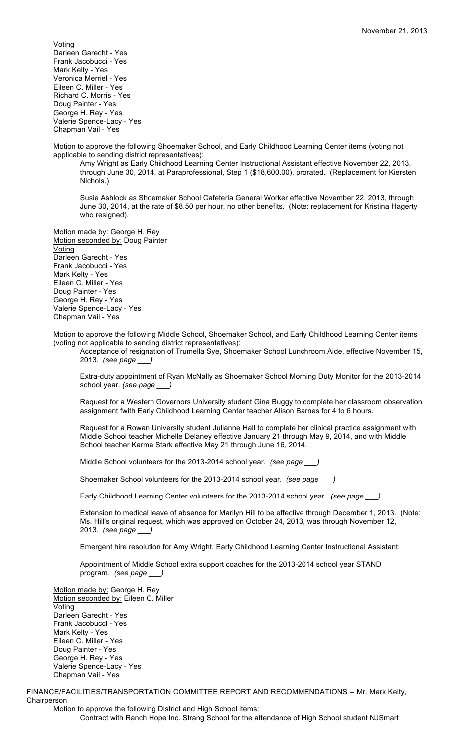Voting Darleen Garecht - Yes Frank Jacobucci - Yes Mark Kelty - Yes Veronica Merriel - Yes Eileen C. Miller - Yes Richard C. Morris - Yes Doug Painter - Yes George H. Rey - Yes Valerie Spence-Lacy - Yes Chapman Vail - Yes

Motion to approve the following Shoemaker School, and Early Childhood Learning Center items (voting not applicable to sending district representatives):

Amy Wright as Early Childhood Learning Center Instructional Assistant effective November 22, 2013, through June 30, 2014, at Paraprofessional, Step 1 (\$18,600.00), prorated. (Replacement for Kiersten Nichols.)

Susie Ashlock as Shoemaker School Cafeteria General Worker effective November 22, 2013, through June 30, 2014, at the rate of \$8.50 per hour, no other benefits. (Note: replacement for Kristina Hagerty who resigned).

Motion made by: George H. Rey Motion seconded by: Doug Painter Voting Darleen Garecht - Yes Frank Jacobucci - Yes Mark Kelty - Yes Eileen C. Miller - Yes Doug Painter - Yes George H. Rey - Yes Valerie Spence-Lacy - Yes Chapman Vail - Yes

Motion to approve the following Middle School, Shoemaker School, and Early Childhood Learning Center items (voting not applicable to sending district representatives):

Acceptance of resignation of Trumella Sye, Shoemaker School Lunchroom Aide, effective November 15, 2013. *(see page \_\_\_)*

Extra-duty appointment of Ryan McNally as Shoemaker School Morning Duty Monitor for the 2013-2014 school year. *(see page \_\_\_)*

Request for a Western Governors University student Gina Buggy to complete her classroom observation assignment fwith Early Childhood Learning Center teacher Alison Barnes for 4 to 6 hours.

Request for a Rowan University student Julianne Hall to complete her clinical practice assignment with Middle School teacher Michelle Delaney effective January 21 through May 9, 2014, and with Middle School teacher Karma Stark effective May 21 through June 16, 2014.

Middle School volunteers for the 2013-2014 school year. *(see page \_\_\_)*

Shoemaker School volunteers for the 2013-2014 school year. *(see page \_\_\_)*

Early Childhood Learning Center volunteers for the 2013-2014 school year. *(see page \_\_\_)*

Extension to medical leave of absence for Marilyn Hill to be effective through December 1, 2013. (Note: Ms. Hill's original request, which was approved on October 24, 2013, was through November 12, 2013. *(see page \_\_\_)*

Emergent hire resolution for Amy Wright, Early Childhood Learning Center Instructional Assistant.

Appointment of Middle School extra support coaches for the 2013-2014 school year STAND program. *(see page \_\_\_)*

Motion made by: George H. Rey Motion seconded by: Eileen C. Miller Voting Darleen Garecht - Yes Frank Jacobucci - Yes Mark Kelty - Yes Eileen C. Miller - Yes Doug Painter - Yes George H. Rey - Yes Valerie Spence-Lacy - Yes Chapman Vail - Yes

FINANCE/FACILITIES/TRANSPORTATION COMMITTEE REPORT AND RECOMMENDATIONS -- Mr. Mark Kelty, Chairperson

Motion to approve the following District and High School items: Contract with Ranch Hope Inc. Strang School for the attendance of High School student NJSmart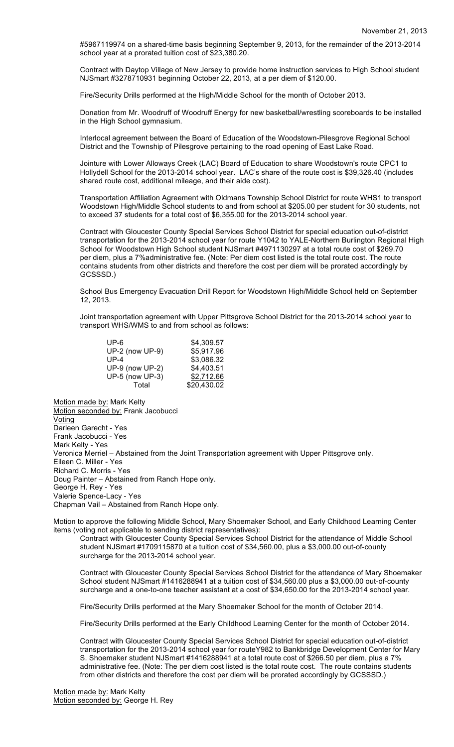#5967119974 on a shared-time basis beginning September 9, 2013, for the remainder of the 2013-2014 school year at a prorated tuition cost of \$23,380.20.

Contract with Daytop Village of New Jersey to provide home instruction services to High School student NJSmart #3278710931 beginning October 22, 2013, at a per diem of \$120.00.

Fire/Security Drills performed at the High/Middle School for the month of October 2013.

Donation from Mr. Woodruff of Woodruff Energy for new basketball/wrestling scoreboards to be installed in the High School gymnasium.

Interlocal agreement between the Board of Education of the Woodstown-Pilesgrove Regional School District and the Township of Pilesgrove pertaining to the road opening of East Lake Road.

Jointure with Lower Alloways Creek (LAC) Board of Education to share Woodstown's route CPC1 to Hollydell School for the 2013-2014 school year. LAC's share of the route cost is \$39,326.40 (includes shared route cost, additional mileage, and their aide cost).

Transportation Affiliation Agreement with Oldmans Township School District for route WHS1 to transport Woodstown High/Middle School students to and from school at \$205.00 per student for 30 students, not to exceed 37 students for a total cost of \$6,355.00 for the 2013-2014 school year.

Contract with Gloucester County Special Services School District for special education out-of-district transportation for the 2013-2014 school year for route Y1042 to YALE-Northern Burlington Regional High School for Woodstown High School student NJSmart #4971130297 at a total route cost of \$269.70 per diem, plus a 7%administrative fee. (Note: Per diem cost listed is the total route cost. The route contains students from other districts and therefore the cost per diem will be prorated accordingly by GCSSSD.)

School Bus Emergency Evacuation Drill Report for Woodstown High/Middle School held on September 12, 2013.

Joint transportation agreement with Upper Pittsgrove School District for the 2013-2014 school year to transport WHS/WMS to and from school as follows:

| UP-6            | \$4,309.57  |
|-----------------|-------------|
| UP-2 (now UP-9) | \$5,917.96  |
| UP-4            | \$3,086.32  |
| UP-9 (now UP-2) | \$4,403.51  |
| UP-5 (now UP-3) | \$2,712.66  |
| Total           | \$20,430.02 |

Motion made by: Mark Kelty Motion seconded by: Frank Jacobucci Voting Darleen Garecht - Yes Frank Jacobucci - Yes Mark Kelty - Yes Veronica Merriel – Abstained from the Joint Transportation agreement with Upper Pittsgrove only. Eileen C. Miller - Yes Richard C. Morris - Yes Doug Painter – Abstained from Ranch Hope only. George H. Rey - Yes Valerie Spence-Lacy - Yes Chapman Vail – Abstained from Ranch Hope only.

Motion to approve the following Middle School, Mary Shoemaker School, and Early Childhood Learning Center items (voting not applicable to sending district representatives):

Contract with Gloucester County Special Services School District for the attendance of Middle School student NJSmart #1709115870 at a tuition cost of \$34,560.00, plus a \$3,000.00 out-of-county surcharge for the 2013-2014 school year.

Contract with Gloucester County Special Services School District for the attendance of Mary Shoemaker School student NJSmart #1416288941 at a tuition cost of \$34,560.00 plus a \$3,000.00 out-of-county surcharge and a one-to-one teacher assistant at a cost of \$34,650.00 for the 2013-2014 school year.

Fire/Security Drills performed at the Mary Shoemaker School for the month of October 2014.

Fire/Security Drills performed at the Early Childhood Learning Center for the month of October 2014.

Contract with Gloucester County Special Services School District for special education out-of-district transportation for the 2013-2014 school year for routeY982 to Bankbridge Development Center for Mary S. Shoemaker student NJSmart #1416288941 at a total route cost of \$266.50 per diem, plus a 7% administrative fee. (Note: The per diem cost listed is the total route cost. The route contains students from other districts and therefore the cost per diem will be prorated accordingly by GCSSSD.)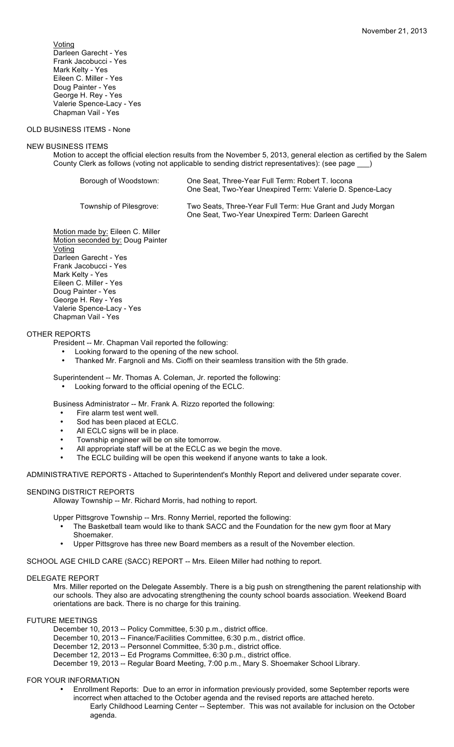Voting Darleen Garecht - Yes Frank Jacobucci - Yes Mark Kelty - Yes Eileen C. Miller - Yes Doug Painter - Yes George H. Rey - Yes Valerie Spence-Lacy - Yes Chapman Vail - Yes

# OLD BUSINESS ITEMS - None

#### NEW BUSINESS ITEMS

Motion to accept the official election results from the November 5, 2013, general election as certified by the Salem County Clerk as follows (voting not applicable to sending district representatives): (see page \_\_\_)

| Borough of Woodstown:   | One Seat, Three-Year Full Term: Robert T. locona<br>One Seat, Two-Year Unexpired Term: Valerie D. Spence-Lacy    |
|-------------------------|------------------------------------------------------------------------------------------------------------------|
| Township of Pilesgrove: | Two Seats, Three-Year Full Term: Hue Grant and Judy Morgan<br>One Seat, Two-Year Unexpired Term: Darleen Garecht |

Motion made by: Eileen C. Miller Motion seconded by: Doug Painter Voting Darleen Garecht - Yes Frank Jacobucci - Yes Mark Kelty - Yes Eileen C. Miller - Yes Doug Painter - Yes George H. Rey - Yes Valerie Spence-Lacy - Yes Chapman Vail - Yes

### OTHER REPORTS

- President -- Mr. Chapman Vail reported the following:
	- Looking forward to the opening of the new school.
	- Thanked Mr. Fargnoli and Ms. Cioffi on their seamless transition with the 5th grade.

Superintendent -- Mr. Thomas A. Coleman, Jr. reported the following: • Looking forward to the official opening of the ECLC.

Business Administrator -- Mr. Frank A. Rizzo reported the following:

- Fire alarm test went well.
- Sod has been placed at ECLC.
- All ECLC signs will be in place.
- Township engineer will be on site tomorrow.
- All appropriate staff will be at the ECLC as we begin the move.
- The ECLC building will be open this weekend if anyone wants to take a look.

ADMINISTRATIVE REPORTS - Attached to Superintendent's Monthly Report and delivered under separate cover.

## SENDING DISTRICT REPORTS

Alloway Township -- Mr. Richard Morris, had nothing to report.

Upper Pittsgrove Township -- Mrs. Ronny Merriel, reported the following:

- The Basketball team would like to thank SACC and the Foundation for the new gym floor at Mary Shoemaker.
- Upper Pittsgrove has three new Board members as a result of the November election.

SCHOOL AGE CHILD CARE (SACC) REPORT -- Mrs. Eileen Miller had nothing to report.

### DELEGATE REPORT

Mrs. Miller reported on the Delegate Assembly. There is a big push on strengthening the parent relationship with our schools. They also are advocating strengthening the county school boards association. Weekend Board orientations are back. There is no charge for this training.

FUTURE MEETINGS

- December 10, 2013 -- Policy Committee, 5:30 p.m., district office.
- December 10, 2013 -- Finance/Facilities Committee, 6:30 p.m., district office.
- December 12, 2013 -- Personnel Committee, 5:30 p.m., district office.
- December 12, 2013 -- Ed Programs Committee, 6:30 p.m., district office.
- December 19, 2013 -- Regular Board Meeting, 7:00 p.m., Mary S. Shoemaker School Library.

## FOR YOUR INFORMATION

- Enrollment Reports: Due to an error in information previously provided, some September reports were incorrect when attached to the October agenda and the revised reports are attached hereto.
	- Early Childhood Learning Center -- September. This was not available for inclusion on the October agenda.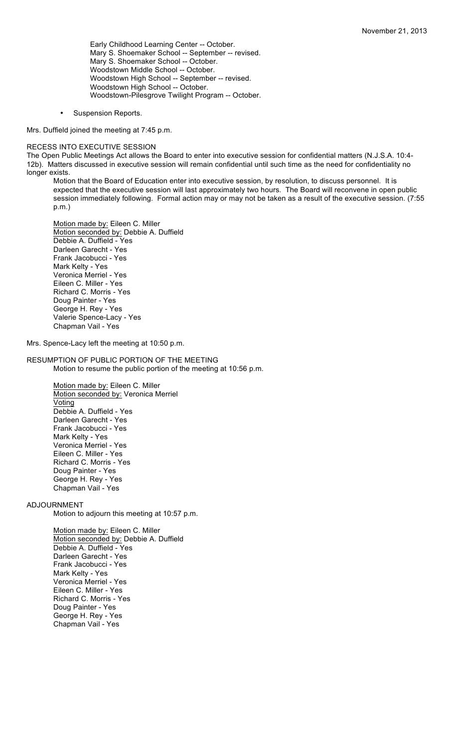Early Childhood Learning Center -- October. Mary S. Shoemaker School -- September -- revised. Mary S. Shoemaker School -- October. Woodstown Middle School -- October. Woodstown High School -- September -- revised. Woodstown High School -- October. Woodstown-Pilesgrove Twilight Program -- October.

• Suspension Reports.

Mrs. Duffield joined the meeting at 7:45 p.m.

### RECESS INTO EXECUTIVE SESSION

The Open Public Meetings Act allows the Board to enter into executive session for confidential matters (N.J.S.A. 10:4- 12b). Matters discussed in executive session will remain confidential until such time as the need for confidentiality no longer exists.

Motion that the Board of Education enter into executive session, by resolution, to discuss personnel. It is expected that the executive session will last approximately two hours. The Board will reconvene in open public session immediately following. Formal action may or may not be taken as a result of the executive session. (7:55 p.m.)

Motion made by: Eileen C. Miller Motion seconded by: Debbie A. Duffield Debbie A. Duffield - Yes Darleen Garecht - Yes Frank Jacobucci - Yes Mark Kelty - Yes Veronica Merriel - Yes Eileen C. Miller - Yes Richard C. Morris - Yes Doug Painter - Yes George H. Rey - Yes Valerie Spence-Lacy - Yes Chapman Vail - Yes

Mrs. Spence-Lacy left the meeting at 10:50 p.m.

### RESUMPTION OF PUBLIC PORTION OF THE MEETING Motion to resume the public portion of the meeting at 10:56 p.m.

Motion made by: Eileen C. Miller Motion seconded by: Veronica Merriel Voting Debbie A. Duffield - Yes Darleen Garecht - Yes Frank Jacobucci - Yes Mark Kelty - Yes Veronica Merriel - Yes Eileen C. Miller - Yes Richard C. Morris - Yes Doug Painter - Yes George H. Rey - Yes Chapman Vail - Yes

#### ADJOURNMENT

Motion to adjourn this meeting at 10:57 p.m.

Motion made by: Eileen C. Miller Motion seconded by: Debbie A. Duffield Debbie A. Duffield - Yes Darleen Garecht - Yes Frank Jacobucci - Yes Mark Kelty - Yes Veronica Merriel - Yes Eileen C. Miller - Yes Richard C. Morris - Yes Doug Painter - Yes George H. Rey - Yes Chapman Vail - Yes